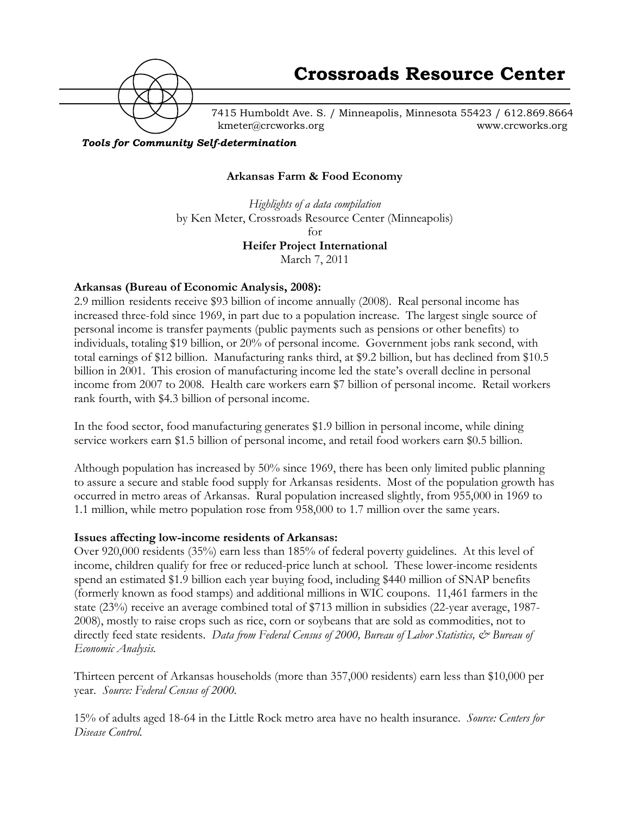

7415 Humboldt Ave. S. / Minneapolis, Minnesota 55423 / 612.869.8664 kmeter@crcworks.org www.crcworks.org

*Tools for Community Self-determination*

### **Arkansas Farm & Food Economy**

*Highlights of a data compilation* by Ken Meter, Crossroads Resource Center (Minneapolis) for **Heifer Project International** March 7, 2011

### **Arkansas (Bureau of Economic Analysis, 2008):**

2.9 million residents receive \$93 billion of income annually (2008). Real personal income has increased three-fold since 1969, in part due to a population increase. The largest single source of personal income is transfer payments (public payments such as pensions or other benefits) to individuals, totaling \$19 billion, or 20% of personal income. Government jobs rank second, with total earnings of \$12 billion. Manufacturing ranks third, at \$9.2 billion, but has declined from \$10.5 billion in 2001. This erosion of manufacturing income led the state's overall decline in personal income from 2007 to 2008. Health care workers earn \$7 billion of personal income. Retail workers rank fourth, with \$4.3 billion of personal income.

In the food sector, food manufacturing generates \$1.9 billion in personal income, while dining service workers earn \$1.5 billion of personal income, and retail food workers earn \$0.5 billion.

Although population has increased by 50% since 1969, there has been only limited public planning to assure a secure and stable food supply for Arkansas residents. Most of the population growth has occurred in metro areas of Arkansas. Rural population increased slightly, from 955,000 in 1969 to 1.1 million, while metro population rose from 958,000 to 1.7 million over the same years.

#### **Issues affecting low-income residents of Arkansas:**

Over 920,000 residents (35%) earn less than 185% of federal poverty guidelines. At this level of income, children qualify for free or reduced-price lunch at school. These lower-income residents spend an estimated \$1.9 billion each year buying food, including \$440 million of SNAP benefits (formerly known as food stamps) and additional millions in WIC coupons. 11,461 farmers in the state (23%) receive an average combined total of \$713 million in subsidies (22-year average, 1987- 2008), mostly to raise crops such as rice, corn or soybeans that are sold as commodities, not to directly feed state residents. *Data from Federal Census of 2000, Bureau of Labor Statistics,*  $\mathcal{Q}$  *Bureau of Economic Analysis.*

Thirteen percent of Arkansas households (more than 357,000 residents) earn less than \$10,000 per year. *Source: Federal Census of 2000.*

15% of adults aged 18-64 in the Little Rock metro area have no health insurance. *Source: Centers for Disease Control.*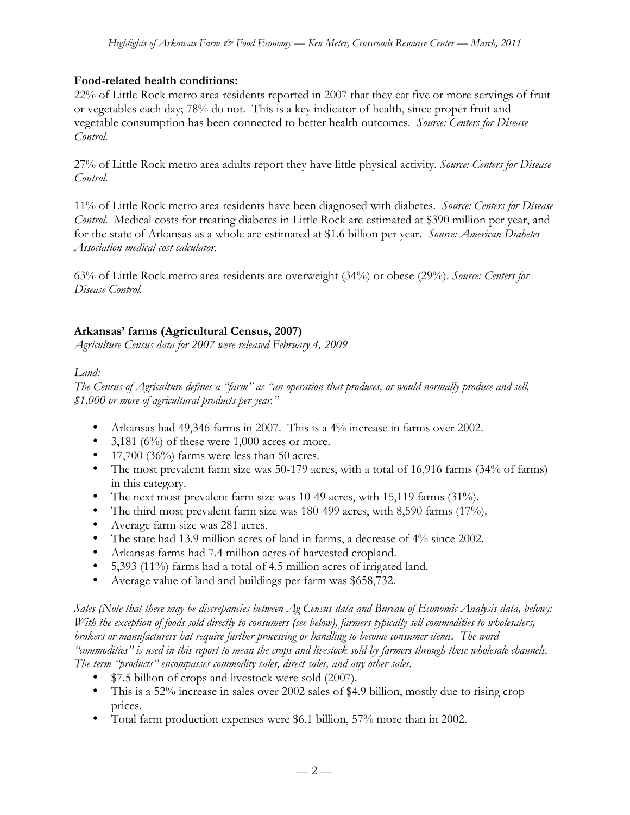# **Food-related health conditions:**

22% of Little Rock metro area residents reported in 2007 that they eat five or more servings of fruit or vegetables each day; 78% do not. This is a key indicator of health, since proper fruit and vegetable consumption has been connected to better health outcomes. *Source: Centers for Disease Control.*

27% of Little Rock metro area adults report they have little physical activity. *Source: Centers for Disease Control.*

11% of Little Rock metro area residents have been diagnosed with diabetes. *Source: Centers for Disease Control.* Medical costs for treating diabetes in Little Rock are estimated at \$390 million per year, and for the state of Arkansas as a whole are estimated at \$1.6 billion per year. *Source: American Diabetes Association medical cost calculator.*

63% of Little Rock metro area residents are overweight (34%) or obese (29%). *Source: Centers for Disease Control.*

# **Arkansas' farms (Agricultural Census, 2007)**

*Agriculture Census data for 2007 were released February 4, 2009*

## *Land:*

*The Census of Agriculture defines a "farm" as "an operation that produces, or would normally produce and sell, \$1,000 or more of agricultural products per year."*

- Arkansas had 49,346 farms in 2007. This is a 4% increase in farms over 2002.
- 3,181 ( $6\%$ ) of these were 1,000 acres or more.
- 17,700 (36%) farms were less than 50 acres.
- The most prevalent farm size was 50-179 acres, with a total of 16,916 farms (34% of farms) in this category.
- The next most prevalent farm size was 10-49 acres, with 15,119 farms (31%).
- The third most prevalent farm size was 180-499 acres, with 8,590 farms (17%).
- Average farm size was 281 acres.
- The state had 13.9 million acres of land in farms, a decrease of 4% since 2002.
- Arkansas farms had 7.4 million acres of harvested cropland.
- 5,393 (11%) farms had a total of 4.5 million acres of irrigated land.
- Average value of land and buildings per farm was \$658,732.

*Sales (Note that there may be discrepancies between Ag Census data and Bureau of Economic Analysis data, below): With the exception of foods sold directly to consumers (see below), farmers typically sell commodities to wholesalers, brokers or manufacturers hat require further processing or handling to become consumer items. The word "commodities" is used in this report to mean the crops and livestock sold by farmers through these wholesale channels. The term "products" encompasses commodity sales, direct sales, and any other sales.*

- \$7.5 billion of crops and livestock were sold (2007).
- This is a 52% increase in sales over 2002 sales of \$4.9 billion, mostly due to rising crop prices.
- Total farm production expenses were \$6.1 billion, 57% more than in 2002.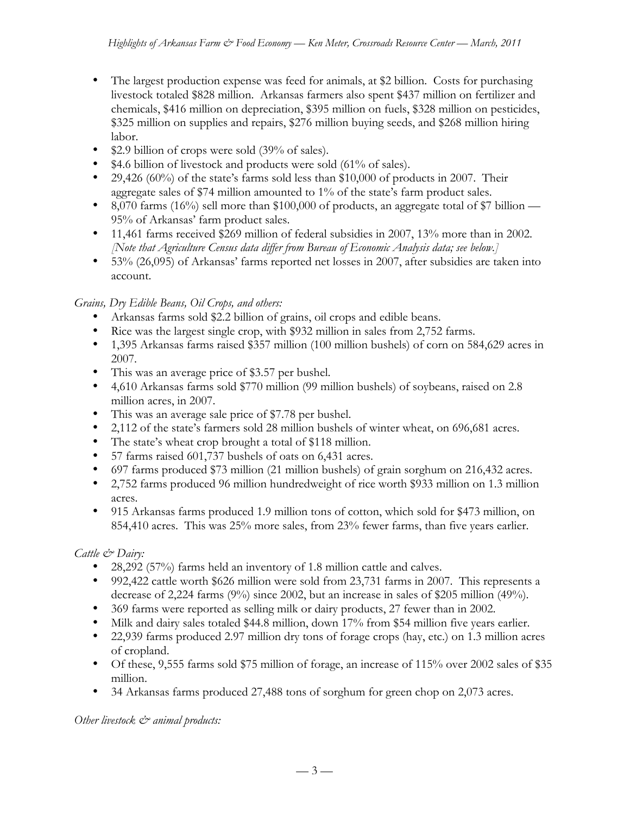- The largest production expense was feed for animals, at \$2 billion. Costs for purchasing livestock totaled \$828 million. Arkansas farmers also spent \$437 million on fertilizer and chemicals, \$416 million on depreciation, \$395 million on fuels, \$328 million on pesticides, \$325 million on supplies and repairs, \$276 million buying seeds, and \$268 million hiring labor.
- \$2.9 billion of crops were sold (39% of sales).
- \$4.6 billion of livestock and products were sold (61% of sales).
- 29,426 (60%) of the state's farms sold less than \$10,000 of products in 2007. Their aggregate sales of \$74 million amounted to 1% of the state's farm product sales.
- 8,070 farms (16%) sell more than \$100,000 of products, an aggregate total of \$7 billion 95% of Arkansas' farm product sales.
- 11,461 farms received \$269 million of federal subsidies in 2007, 13% more than in 2002. *[Note that Agriculture Census data differ from Bureau of Economic Analysis data; see below.]*
- 53% (26,095) of Arkansas' farms reported net losses in 2007, after subsidies are taken into account.

*Grains, Dry Edible Beans, Oil Crops, and others:*

- Arkansas farms sold \$2.2 billion of grains, oil crops and edible beans.
- Rice was the largest single crop, with \$932 million in sales from 2,752 farms.
- 1,395 Arkansas farms raised \$357 million (100 million bushels) of corn on 584,629 acres in 2007.
- This was an average price of \$3.57 per bushel.
- 4,610 Arkansas farms sold \$770 million (99 million bushels) of soybeans, raised on 2.8 million acres, in 2007.
- This was an average sale price of \$7.78 per bushel.
- 2,112 of the state's farmers sold 28 million bushels of winter wheat, on 696,681 acres.
- The state's wheat crop brought a total of \$118 million.
- 57 farms raised 601,737 bushels of oats on 6,431 acres.
- 697 farms produced \$73 million (21 million bushels) of grain sorghum on 216,432 acres.
- 2,752 farms produced 96 million hundredweight of rice worth \$933 million on 1.3 million acres.
- 915 Arkansas farms produced 1.9 million tons of cotton, which sold for \$473 million, on 854,410 acres. This was 25% more sales, from 23% fewer farms, than five years earlier.

# *Cattle & Dairy:*

- 28,292 (57%) farms held an inventory of 1.8 million cattle and calves.
- 992,422 cattle worth \$626 million were sold from 23,731 farms in 2007. This represents a decrease of 2,224 farms (9%) since 2002, but an increase in sales of \$205 million (49%).
- 369 farms were reported as selling milk or dairy products, 27 fewer than in 2002.
- Milk and dairy sales totaled \$44.8 million, down 17% from \$54 million five years earlier.
- 22,939 farms produced 2.97 million dry tons of forage crops (hay, etc.) on 1.3 million acres of cropland.
- Of these, 9,555 farms sold \$75 million of forage, an increase of 115% over 2002 sales of \$35 million.
- 34 Arkansas farms produced 27,488 tons of sorghum for green chop on 2,073 acres.

# *Other livestock & animal products:*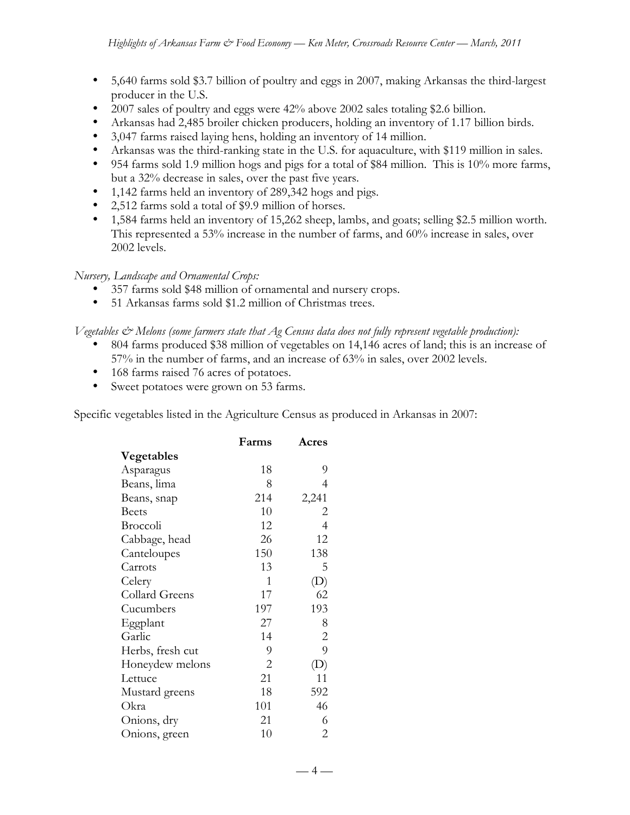- 5,640 farms sold \$3.7 billion of poultry and eggs in 2007, making Arkansas the third-largest producer in the U.S.
- 2007 sales of poultry and eggs were 42% above 2002 sales totaling \$2.6 billion.
- Arkansas had 2,485 broiler chicken producers, holding an inventory of 1.17 billion birds.
- 3,047 farms raised laying hens, holding an inventory of 14 million.
- Arkansas was the third-ranking state in the U.S. for aquaculture, with \$119 million in sales.
- 954 farms sold 1.9 million hogs and pigs for a total of \$84 million. This is 10% more farms, but a 32% decrease in sales, over the past five years.
- 1,142 farms held an inventory of 289,342 hogs and pigs.
- 2,512 farms sold a total of \$9.9 million of horses.
- 1,584 farms held an inventory of 15,262 sheep, lambs, and goats; selling \$2.5 million worth. This represented a 53% increase in the number of farms, and 60% increase in sales, over 2002 levels.

## *Nursery, Landscape and Ornamental Crops:*

- 357 farms sold \$48 million of ornamental and nursery crops.
- 51 Arkansas farms sold \$1.2 million of Christmas trees.

### *Vegetables & Melons (some farmers state that Ag Census data does not fully represent vegetable production):*

- 804 farms produced \$38 million of vegetables on 14,146 acres of land; this is an increase of 57% in the number of farms, and an increase of 63% in sales, over 2002 levels.
- 168 farms raised 76 acres of potatoes.
- Sweet potatoes were grown on 53 farms.

Specific vegetables listed in the Agriculture Census as produced in Arkansas in 2007:

|                  | Farms          | Acres |
|------------------|----------------|-------|
| Vegetables       |                |       |
| Asparagus        | 18             | 9     |
| Beans, lima      | 8              | 4     |
| Beans, snap      | 214            | 2,241 |
| <b>Beets</b>     | 10             | 2     |
| Broccoli         | 12             | 4     |
| Cabbage, head    | 26             | 12    |
| Canteloupes      | 150            | 138   |
| Carrots          | 13             | 5     |
| Celery           | 1              | (D)   |
| Collard Greens   | 17             | 62    |
| Cucumbers        | 197            | 193   |
| Eggplant         | 27             | 8     |
| Garlic           | 14             | 2     |
| Herbs, fresh cut | 9              | 9     |
| Honeydew melons  | $\overline{2}$ | (D)   |
| Lettuce          | 21             | 11    |
| Mustard greens   | 18             | 592   |
| Okra             | 101            | 46    |
| Onions, dry      | 21             | 6     |
| Onions, green    | 10             | 2     |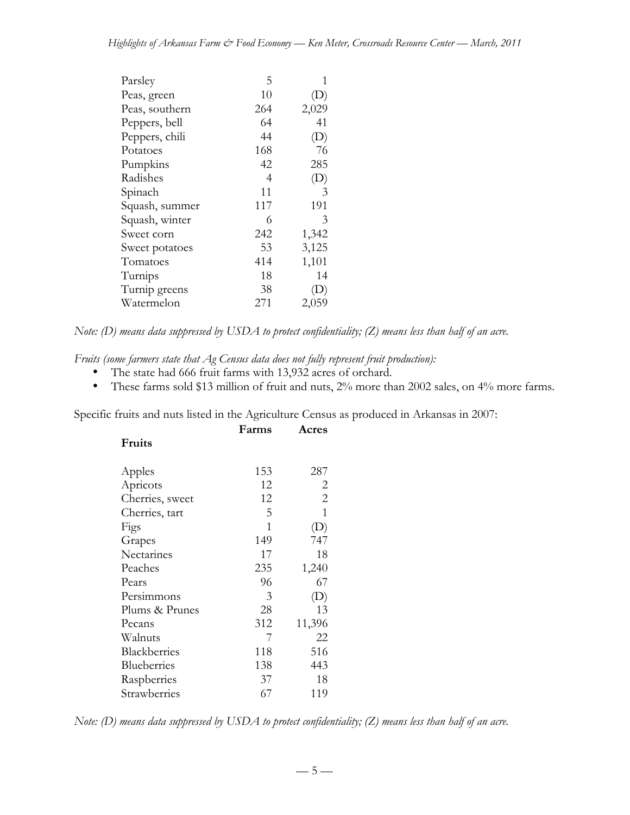| Parsley        | 5   | 1     |
|----------------|-----|-------|
| Peas, green    | 10  | (D)   |
| Peas, southern | 264 | 2,029 |
| Peppers, bell  | 64  | 41    |
| Peppers, chili | 44  | (D)   |
| Potatoes       | 168 | 76    |
| Pumpkins       | 42  | 285   |
| Radishes       | 4   | (D)   |
| Spinach        | 11  | 3     |
| Squash, summer | 117 | 191   |
| Squash, winter | 6   | 3     |
| Sweet corn     | 242 | 1,342 |
| Sweet potatoes | 53  | 3,125 |
| Tomatoes       | 414 | 1,101 |
| Turnips        | 18  | 14    |
| Turnip greens  | 38  | (D)   |
| Watermelon     | 271 | 2,059 |

*Note: (D) means data suppressed by USDA to protect confidentiality; (Z) means less than half of an acre.*

*Fruits (some farmers state that Ag Census data does not fully represent fruit production):*

- The state had 666 fruit farms with 13,932 acres of orchard.<br>• These farms sold \$13 million of fruit and nuts. 2% more th
- These farms sold \$13 million of fruit and nuts, 2% more than 2002 sales, on 4% more farms.

Specific fruits and nuts listed in the Agriculture Census as produced in Arkansas in 2007:

| <b>Fruits</b>       |     |                |
|---------------------|-----|----------------|
| Apples              | 153 | 287            |
| Apricots            | 12  | 2              |
| Cherries, sweet     | 12  | $\overline{2}$ |
| Cherries, tart      | 5   | 1              |
| Figs                | 1   | (D)            |
| Grapes              | 149 | 747            |
| Nectarines          | 17  | 18             |
| Peaches             | 235 | 1,240          |
| Pears               | 96  | 67             |
| Persimmons          | 3   | (D)            |
| Plums & Prunes      | 28  | 13             |
| Pecans              | 312 | 11,396         |
| Walnuts             | 7   | 22             |
| <b>Blackberries</b> | 118 | 516            |
| Blueberries         | 138 | 443            |
| Raspberries         | 37  | 18             |
| Strawberries        | 67  | 119            |

**Farms Acres**

|  |  |  |  | Note: (D) means data suppressed by USDA to protect confidentiality; (Z) means less than half of an acre. |  |  |  |
|--|--|--|--|----------------------------------------------------------------------------------------------------------|--|--|--|
|--|--|--|--|----------------------------------------------------------------------------------------------------------|--|--|--|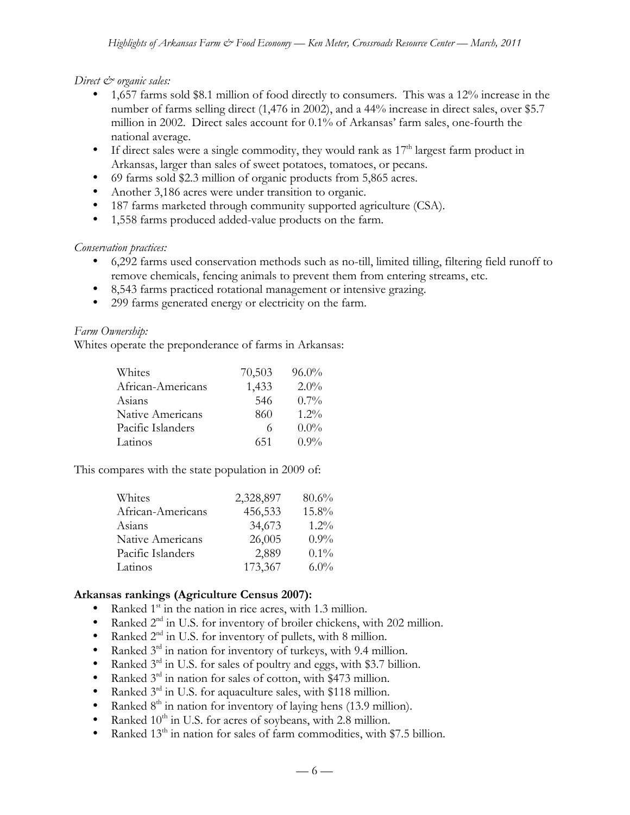*Direct*  $\mathcal{Q}$  organic sales:

- 1,657 farms sold \$8.1 million of food directly to consumers. This was a 12% increase in the number of farms selling direct (1,476 in 2002), and a 44% increase in direct sales, over \$5.7 million in 2002. Direct sales account for 0.1% of Arkansas' farm sales, one-fourth the national average.
- If direct sales were a single commodity, they would rank as  $17<sup>th</sup>$  largest farm product in Arkansas, larger than sales of sweet potatoes, tomatoes, or pecans.
- 69 farms sold \$2.3 million of organic products from 5,865 acres.
- Another 3,186 acres were under transition to organic.
- 187 farms marketed through community supported agriculture (CSA).
- 1,558 farms produced added-value products on the farm.

*Conservation practices:*

- 6,292 farms used conservation methods such as no-till, limited tilling, filtering field runoff to remove chemicals, fencing animals to prevent them from entering streams, etc.
- 8,543 farms practiced rotational management or intensive grazing.
- 299 farms generated energy or electricity on the farm.

## *Farm Ownership:*

Whites operate the preponderance of farms in Arkansas:

| Whites                  | 70,503 | $96.0\%$ |
|-------------------------|--------|----------|
| African-Americans       | 1,433  | $2.0\%$  |
| Asians                  | 546    | $0.7\%$  |
| <b>Native Americans</b> | 860    | $1.2\%$  |
| Pacific Islanders       | 6      | $0.0\%$  |
| Latinos                 | 651    | $0.9\%$  |
|                         |        |          |

This compares with the state population in 2009 of:

| Whites            | 2,328,897 | 80.6%   |
|-------------------|-----------|---------|
| African-Americans | 456,533   | 15.8%   |
| Asians            | 34,673    | $1.2\%$ |
| Native Americans  | 26,005    | $0.9\%$ |
| Pacific Islanders | 2,889     | $0.1\%$ |
| Latinos           | 173,367   | $6.0\%$ |

## **Arkansas rankings (Agriculture Census 2007):**

- Ranked  $1<sup>st</sup>$  in the nation in rice acres, with 1.3 million.
- Ranked 2<sup>nd</sup> in U.S. for inventory of broiler chickens, with 202 million.
- Ranked  $2<sup>nd</sup>$  in U.S. for inventory of pullets, with 8 million.
- Ranked  $3<sup>rd</sup>$  in nation for inventory of turkeys, with 9.4 million.
- Ranked  $3<sup>rd</sup>$  in U.S. for sales of poultry and eggs, with \$3.7 billion.
- Ranked  $3<sup>rd</sup>$  in nation for sales of cotton, with \$473 million.<br>• Ranked  $3<sup>rd</sup>$  in U.S. for aquaculture sales, with \$118 million.
- Ranked  $3<sup>rd</sup>$  in U.S. for aquaculture sales, with \$118 million.
- Ranked  $8<sup>th</sup>$  in nation for inventory of laying hens (13.9 million).<br>• Ranked  $10<sup>th</sup>$  in U.S. for acres of sovbeans, with 2.8 million
- Ranked  $10^{th}$  in U.S. for acres of soybeans, with 2.8 million.
- Ranked 13<sup>th</sup> in nation for sales of farm commodities, with \$7.5 billion.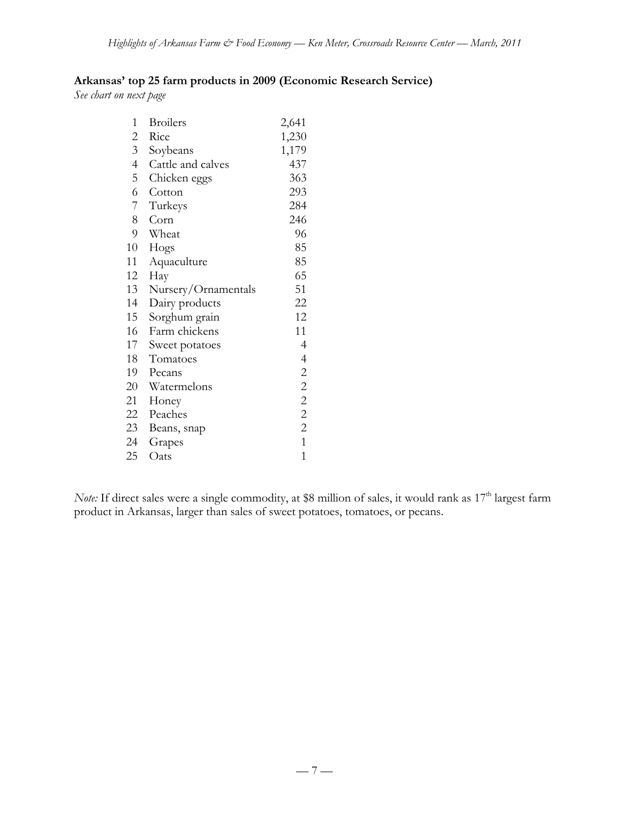# **Arkansas' top 25 farm products in 2009 (Economic Research Service)**

*See chart on next page*

| $\mathbf{1}$   | <b>Broilers</b>     | 2,641          |
|----------------|---------------------|----------------|
| 2              | Rice                | 1,230          |
| 3 <sup>7</sup> | Soybeans            | 1,179          |
| $\overline{4}$ | Cattle and calves   | 437            |
| 5              | Chicken eggs        | 363            |
| 6              | Cotton              | 293            |
| 7              | Turkeys             | 284            |
| 8              | Corn                | 246            |
| 9              | Wheat               | 96             |
| 10             | Hogs                | 85             |
| 11             | Aquaculture         | 85             |
| 12             | Hay                 | 65             |
| 13             | Nursery/Ornamentals | 51             |
| 14             | Dairy products      | 22             |
| 15             | Sorghum grain       | 12             |
| 16             | Farm chickens       | 11             |
| 17             | Sweet potatoes      | 4              |
| 18             | Tomatoes            | 4              |
| 19             | Pecans              | $\mathbf{2}$   |
| 20             | Watermelons         | $\overline{c}$ |
| 21             | Honey               | $\overline{c}$ |
| 22             | Peaches             | $\overline{c}$ |
| 23             | Beans, snap         | $\overline{2}$ |
| 24             | Grapes              | $\mathbf{1}$   |
| 25             | Oats                | 1              |

*Note:* If direct sales were a single commodity, at \$8 million of sales, it would rank as 17<sup>th</sup> largest farm product in Arkansas, larger than sales of sweet potatoes, tomatoes, or pecans.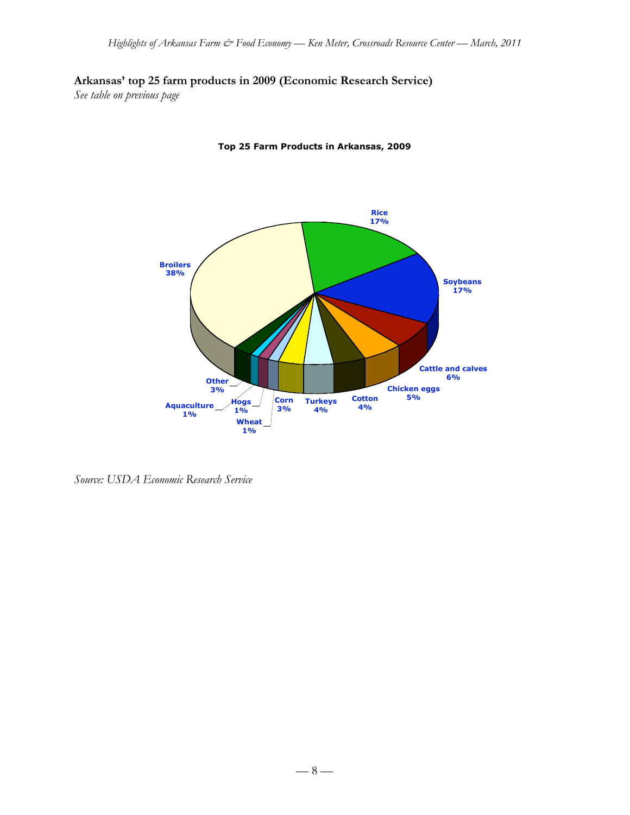# **Arkansas' top 25 farm products in 2009 (Economic Research Service)**

*See table on previous page*



**Top 25 Farm Products in Arkansas, 2009**

*Source: USDA Economic Research Service*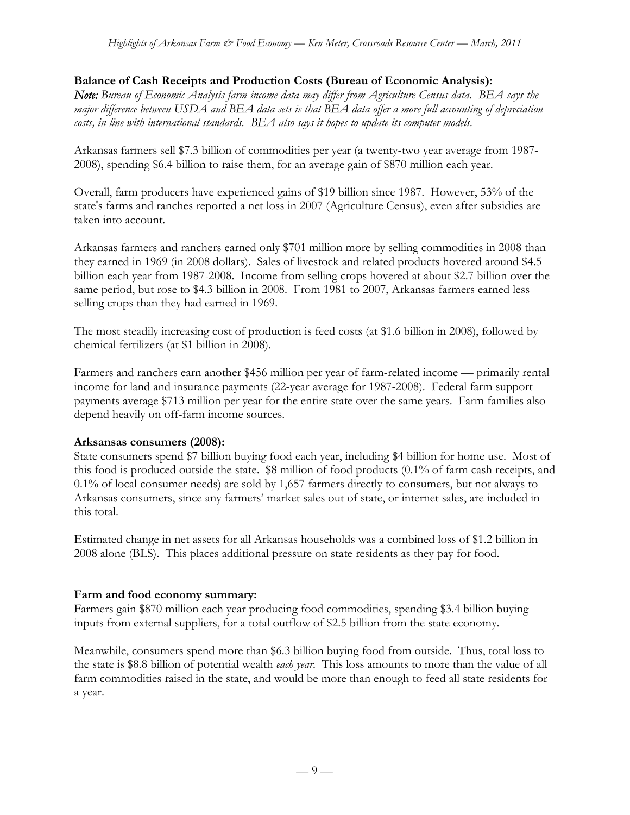## **Balance of Cash Receipts and Production Costs (Bureau of Economic Analysis):**

*Note: Bureau of Economic Analysis farm income data may differ from Agriculture Census data. BEA says the major difference between USDA and BEA data sets is that BEA data offer a more full accounting of depreciation costs, in line with international standards. BEA also says it hopes to update its computer models.*

Arkansas farmers sell \$7.3 billion of commodities per year (a twenty-two year average from 1987- 2008), spending \$6.4 billion to raise them, for an average gain of \$870 million each year.

Overall, farm producers have experienced gains of \$19 billion since 1987. However, 53% of the state's farms and ranches reported a net loss in 2007 (Agriculture Census), even after subsidies are taken into account.

Arkansas farmers and ranchers earned only \$701 million more by selling commodities in 2008 than they earned in 1969 (in 2008 dollars). Sales of livestock and related products hovered around \$4.5 billion each year from 1987-2008. Income from selling crops hovered at about \$2.7 billion over the same period, but rose to \$4.3 billion in 2008. From 1981 to 2007, Arkansas farmers earned less selling crops than they had earned in 1969.

The most steadily increasing cost of production is feed costs (at \$1.6 billion in 2008), followed by chemical fertilizers (at \$1 billion in 2008).

Farmers and ranchers earn another \$456 million per year of farm-related income — primarily rental income for land and insurance payments (22-year average for 1987-2008). Federal farm support payments average \$713 million per year for the entire state over the same years. Farm families also depend heavily on off-farm income sources.

## **Arksansas consumers (2008):**

State consumers spend \$7 billion buying food each year, including \$4 billion for home use. Most of this food is produced outside the state. \$8 million of food products (0.1% of farm cash receipts, and 0.1% of local consumer needs) are sold by 1,657 farmers directly to consumers, but not always to Arkansas consumers, since any farmers' market sales out of state, or internet sales, are included in this total.

Estimated change in net assets for all Arkansas households was a combined loss of \$1.2 billion in 2008 alone (BLS). This places additional pressure on state residents as they pay for food.

## **Farm and food economy summary:**

Farmers gain \$870 million each year producing food commodities, spending \$3.4 billion buying inputs from external suppliers, for a total outflow of \$2.5 billion from the state economy.

Meanwhile, consumers spend more than \$6.3 billion buying food from outside. Thus, total loss to the state is \$8.8 billion of potential wealth *each year*. This loss amounts to more than the value of all farm commodities raised in the state, and would be more than enough to feed all state residents for a year.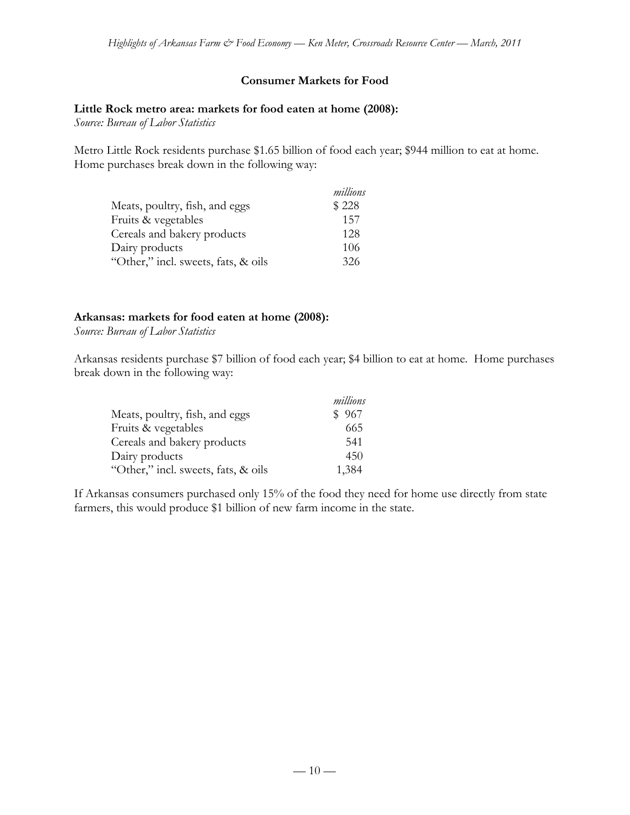# **Consumer Markets for Food**

### **Little Rock metro area: markets for food eaten at home (2008):**

*Source: Bureau of Labor Statistics*

Metro Little Rock residents purchase \$1.65 billion of food each year; \$944 million to eat at home. Home purchases break down in the following way:

|                                     | millions |
|-------------------------------------|----------|
| Meats, poultry, fish, and eggs      | \$228    |
| Fruits & vegetables                 | 157      |
| Cereals and bakery products         | 128      |
| Dairy products                      | 106      |
| "Other," incl. sweets, fats, & oils | 326      |

### **Arkansas: markets for food eaten at home (2008):**

*Source: Bureau of Labor Statistics*

Arkansas residents purchase \$7 billion of food each year; \$4 billion to eat at home. Home purchases break down in the following way:

|                                     | millions |
|-------------------------------------|----------|
| Meats, poultry, fish, and eggs      | \$967    |
| Fruits & vegetables                 | 665      |
| Cereals and bakery products         | 541      |
| Dairy products                      | 450      |
| "Other," incl. sweets, fats, & oils | 1,384    |

If Arkansas consumers purchased only 15% of the food they need for home use directly from state farmers, this would produce \$1 billion of new farm income in the state.